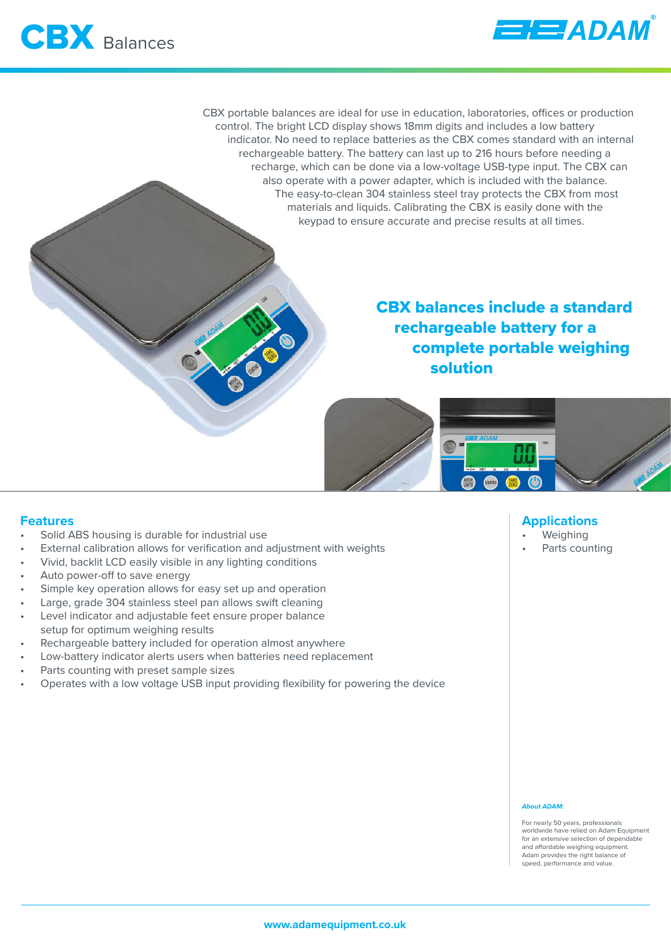

CBX portable balances are ideal for use in education, laboratories, offices or production control. The bright LCD display shows 18mm digits and includes a low battery indicator. No need to replace batteries as the CBX comes standard with an internal rechargeable battery. The battery can last up to 216 hours before needing a recharge, which can be done via a low-voltage USB-type input. The CBX can also operate with a power adapter, which is included with the balance. The easy-to-clean 304 stainless steel tray protects the CBX from most materials and liquids. Calibrating the CBX is easily done with the keypad to ensure accurate and precise results at all times.

# CBX balances include a standard rechargeable battery for a complete portable weighing solution



### **Features**

- Solid ABS housing is durable for industrial use
- External calibration allows for verification and adjustment with weights
- Vivid, backlit LCD easily visible in any lighting conditions
- Auto power-off to save energy
- Simple key operation allows for easy set up and operation
- Large, grade 304 stainless steel pan allows swift cleaning
- Level indicator and adjustable feet ensure proper balance setup for optimum weighing results
- Rechargeable battery included for operation almost anywhere
- Low-battery indicator alerts users when batteries need replacement
- Parts counting with preset sample sizes
- Operates with a low voltage USB input providing flexibility for powering the device

## **Applications**

- **Weighing**
- Parts counting

#### *About ADAM:*

For nearly 50 years, professionals worldwide have relied on Adam Equipment for an extensive selection of dependable and affordable weighing equipment. Adam provides the right balance of speed, performance and value.